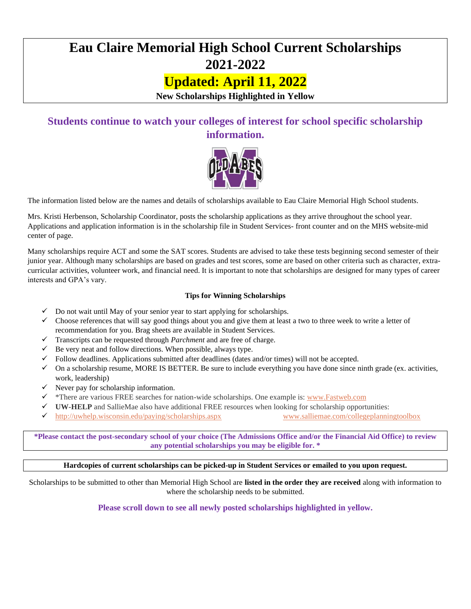# **Eau Claire Memorial High School Current Scholarships 2021-2022**

## **Updated: April 11, 2022**

**New Scholarships Highlighted in Yellow**

### **Students continue to watch your colleges of interest for school specific scholarship information.**



The information listed below are the names and details of scholarships available to Eau Claire Memorial High School students.

Mrs. Kristi Herbenson, Scholarship Coordinator, posts the scholarship applications as they arrive throughout the school year. Applications and application information is in the scholarship file in Student Services- front counter and on the MHS website-mid center of page.

Many scholarships require ACT and some the SAT scores. Students are advised to take these tests beginning second semester of their junior year. Although many scholarships are based on grades and test scores, some are based on other criteria such as character, extracurricular activities, volunteer work, and financial need. It is important to note that scholarships are designed for many types of career interests and GPA's vary.

#### **Tips for Winning Scholarships**

- $\checkmark$  Do not wait until May of your senior year to start applying for scholarships.
- ✓ Choose references that will say good things about you and give them at least a two to three week to write a letter of recommendation for you. Brag sheets are available in Student Services.
- ✓ Transcripts can be requested through *Parchment* and are free of charge.
- $\checkmark$  Be very neat and follow directions. When possible, always type.
- Follow deadlines. Applications submitted after deadlines (dates and/or times) will not be accepted.
- $\checkmark$  On a scholarship resume, MORE IS BETTER. Be sure to include everything you have done since ninth grade (ex. activities, work, leadership)
- $\checkmark$  Never pay for scholarship information.
- ✓ \*There are various FREE searches for nation-wide scholarships. One example is: [www.Fastweb.com](http://www.fastweb.com/)
- ✓ **UW-HELP** and SallieMae also have additional FREE resources when looking for scholarship opportunities:
- ✓ <http://uwhelp.wisconsin.edu/paying/scholarships.aspx>[www.salliemae.com/collegeplanningtoolbox](http://www.salliemae.com/collegeplanningtoolbox)

**\*Please contact the post-secondary school of your choice (The Admissions Office and/or the Financial Aid Office) to review any potential scholarships you may be eligible for. \***

**Hardcopies of current scholarships can be picked-up in Student Services or emailed to you upon request.**

Scholarships to be submitted to other than Memorial High School are **listed in the order they are received** along with information to where the scholarship needs to be submitted.

**Please scroll down to see all newly posted scholarships highlighted in yellow.**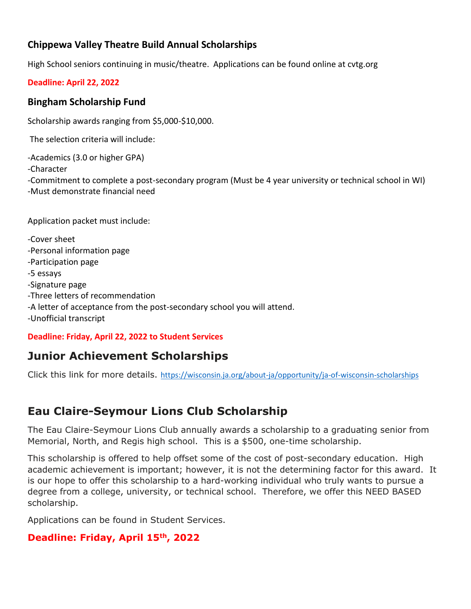### **Chippewa Valley Theatre Build Annual Scholarships**

High School seniors continuing in music/theatre. Applications can be found online at cvtg.org

#### **Deadline: April 22, 2022**

#### **Bingham Scholarship Fund**

Scholarship awards ranging from \$5,000-\$10,000.

The selection criteria will include:

-Academics (3.0 or higher GPA)

-Character

-Commitment to complete a post-secondary program (Must be 4 year university or technical school in WI) -Must demonstrate financial need

Application packet must include:

-Cover sheet -Personal information page -Participation page -5 essays -Signature page -Three letters of recommendation -A letter of acceptance from the post-secondary school you will attend. -Unofficial transcript

#### **Deadline: Friday, April 22, 2022 to Student Services**

## **Junior Achievement Scholarships**

Click this link for more details. [https://wisconsin.ja.org/about-ja/opportunity/ja-of-wisconsin-scholarships](https://nam04.safelinks.protection.outlook.com/?url=https%3A%2F%2Fwisconsin.ja.org%2Fabout-ja%2Fopportunity%2Fja-of-wisconsin-scholarships&data=04%7C01%7Cspeterson%40jawis.org%7C55113cff1d37461cb69708da01424ec3%7C38e4ef43909f4cf1831691ea9afeb1b6%7C0%7C0%7C637823681556793509%7CUnknown%7CTWFpbGZsb3d8eyJWIjoiMC4wLjAwMDAiLCJQIjoiV2luMzIiLCJBTiI6Ik1haWwiLCJXVCI6Mn0%3D%7C3000&sdata=HFOqUCPx%2FeklzirhM9rntW0dLHtiGtGVY0I6ed%2B9GUw%3D&reserved=0)

## **Eau Claire-Seymour Lions Club Scholarship**

The Eau Claire-Seymour Lions Club annually awards a scholarship to a graduating senior from Memorial, North, and Regis high school. This is a \$500, one-time scholarship.

This scholarship is offered to help offset some of the cost of post-secondary education. High academic achievement is important; however, it is not the determining factor for this award. It is our hope to offer this scholarship to a hard-working individual who truly wants to pursue a degree from a college, university, or technical school. Therefore, we offer this NEED BASED scholarship.

Applications can be found in Student Services.

#### **Deadline: Friday, April 15th, 2022**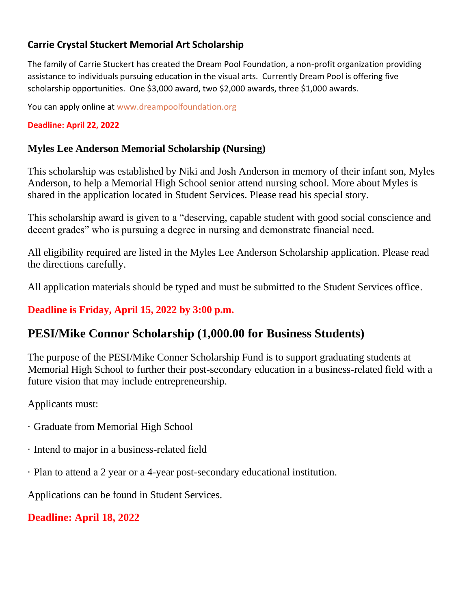### **Carrie Crystal Stuckert Memorial Art Scholarship**

The family of Carrie Stuckert has created the Dream Pool Foundation, a non-profit organization providing assistance to individuals pursuing education in the visual arts. Currently Dream Pool is offering five scholarship opportunities. One \$3,000 award, two \$2,000 awards, three \$1,000 awards.

You can apply online at [www.dreampoolfoundation.org](http://www.dreampoolfoundation.org/)

#### **Deadline: April 22, 2022**

#### **Myles Lee Anderson Memorial Scholarship (Nursing)**

This scholarship was established by Niki and Josh Anderson in memory of their infant son, Myles Anderson, to help a Memorial High School senior attend nursing school. More about Myles is shared in the application located in Student Services. Please read his special story.

This scholarship award is given to a "deserving, capable student with good social conscience and decent grades" who is pursuing a degree in nursing and demonstrate financial need.

All eligibility required are listed in the Myles Lee Anderson Scholarship application. Please read the directions carefully.

All application materials should be typed and must be submitted to the Student Services office.

### **Deadline is Friday, April 15, 2022 by 3:00 p.m.**

## **PESI/Mike Connor Scholarship (1,000.00 for Business Students)**

The purpose of the PESI/Mike Conner Scholarship Fund is to support graduating students at Memorial High School to further their post-secondary education in a business-related field with a future vision that may include entrepreneurship.

Applicants must:

- · Graduate from Memorial High School
- · Intend to major in a business-related field
- · Plan to attend a 2 year or a 4-year post-secondary educational institution.

Applications can be found in Student Services.

## **Deadline: April 18, 2022**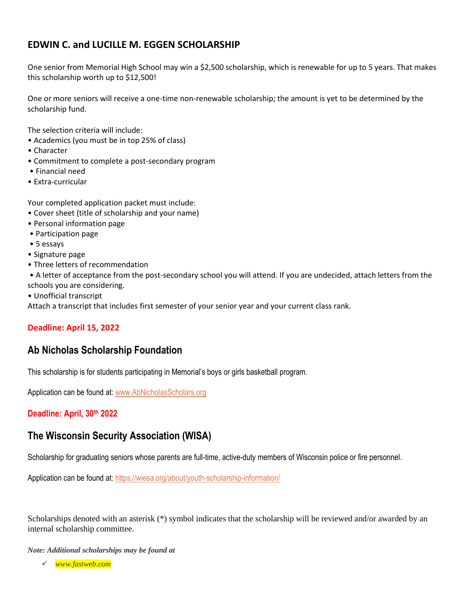### **EDWIN C. and LUCILLE M. EGGEN SCHOLARSHIP**

One senior from Memorial High School may win a \$2,500 scholarship, which is renewable for up to 5 years. That makes this scholarship worth up to \$12,500!

One or more seniors will receive a one-time non-renewable scholarship; the amount is yet to be determined by the scholarship fund.

The selection criteria will include:

- Academics (you must be in top 25% of class)
- Character
- Commitment to complete a post-secondary program
- Financial need
- Extra-curricular

Your completed application packet must include:

- Cover sheet (title of scholarship and your name)
- Personal information page
- Participation page
- 5 essays
- Signature page
- Three letters of recommendation

• A letter of acceptance from the post-secondary school you will attend. If you are undecided, attach letters from the schools you are considering.

• Unofficial transcript

Attach a transcript that includes first semester of your senior year and your current class rank.

#### **Deadline: April 15, 2022**

#### **Ab Nicholas Scholarship Foundation**

This scholarship is for students participating in Memorial's boys or girls basketball program.

Application can be found at: [www.AbNicholasScholars.org](http://www.abnicholasscholars.org/)

**Deadline: April, 30th 2022**

#### **The Wisconsin Security Association (WISA)**

Scholarship for graduating seniors whose parents are full-time, active-duty members of Wisconsin police or fire personnel.

Application can be found at: <https://wiesa.org/about/youth-scholarship-information/>

Scholarships denoted with an asterisk (\*) symbol indicates that the scholarship will be reviewed and/or awarded by an internal scholarship committee.

*Note: Additional scholarships may be found at* 

✓ *www.fastweb.com*